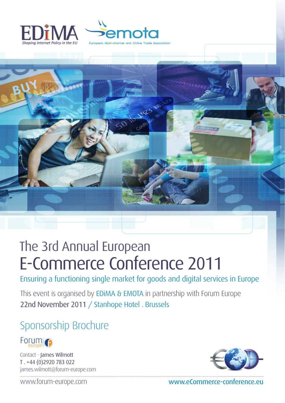





# The 3rd Annual European E-Commerce Conference 2011

Ensuring a functioning single market for goods and digital services in Europe

This event is organised by EDIMA & EMOTA in partnership with Forum Europe 22nd November 2011 / Stanhope Hotel . Brussels

# Sponsorship Brochure



Contact - James Wilmott T . +44 (0)2920 783 022 james.wilmott@forum-europe.com



www.forum-europe.com www.eCommerce-conference.eu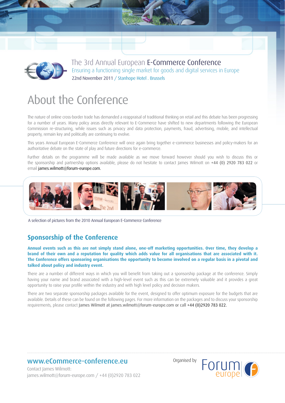

# About the Conference

The nature of online cross-border trade has demanded a reappraisal of traditional thinking on retail and this debate has been progressing for a number of years. Many policy areas directly relevant to E-Commerce have shifted to new departments following the European Commission re-structuring, while issues such as privacy and data protection, payments, fraud, advertising, mobile, and intellectual property, remain key and politically are continuing to evolve.

This years Annual European E-Commerce Conference will once again bring together e-commerce businesses and policy-makers for an authoritative debate on the state of play and future directions for e-commerce.

Further details on the programme will be made available as we move forward however should you wish to discuss this or the sponsorship and partnership options available, please do not hesitate to contact James Wilmott on +44 (0) 2920 783 022 or email james.wilmott@forum-europe.com.



A selection of pictures from the 2010 Annual European E-Commerce Conference

# **Sponsorship of the Conference**

**Annual events such as this are not simply stand alone, one-off marketing opportunities. Over time, they develop a brand of their own and a reputation for quality which adds value for all organisations that are associated with it. The Conference offers sponsoring organisations the opportunity to become involved on a regular basis in a pivotal and talked about policy and industry event.**

There are a number of different ways in which you will benefit from taking out a sponsorship package at the conference. Simply having your name and brand associated with a high-level event such as this can be extremely valuable and it provides a great opportunity to raise your profile within the industry and with high level policy and decision makers.

There are two separate sponsorship packages available for the event, designed to offer optimum exposure for the budgets that are available. Details of these can be found on the following pages. For more information on the packages and to discuss your sponsorship requirements, please contact James Wilmott at james.wilmott@forum-europe.com or call +44 (0)2920 783 022.

# www.eCommerce-conference.eu

Contact James Wilmott: james.wilmott@forum-europe.com / +44 (0)2920 783 022 Organised by

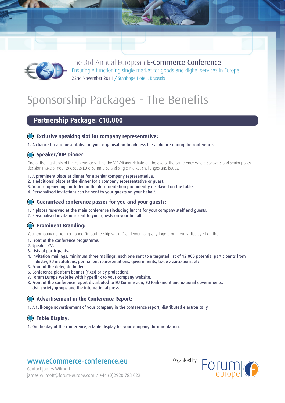

# Sponsorship Packages - The Benefits

# **Partnership Package: €10,000**

#### **Exclusive speaking slot for company representative:**

1. A chance for a representative of your organisation to address the audience during the conference.

#### **Speaker/VIP Dinner:**

One of the highlights of the conference will be the VIP/dinner debate on the eve of the conference where speakers and senior policy decision makers meet to discuss EU e-commerce and single market challenges and issues.

- 1. A prominent place at dinner for a senior company representative.
- 2. 1 additional place at the dinner for a company representative or guest.
- 3. Your company logo included in the documentation prominently displayed on the table.
- 4. Personalised invitations can be sent to your guests on your behalf.

#### **Guaranteed conference passes for you and your guests:**

1. 4 places reserved at the main conference (including lunch) for your company staff and guests.

2. Personalised invitations sent to your guests on your behalf.

#### **Prominent Branding:**

Your company name mentioned "in partnership with…" and your company logo prominently displayed on the:

- 1. Front of the conference programme.
- 2. Speaker CVs.
- 3. Lists of participants.
- 4. Invitation mailings, minimum three mailings, each one sent to a targeted list of 12,000 potential participants from industry, EU institutions, permanent representations, governments, trade associations, etc.
- 5. Front of the delegate folders.
- 6. Conference platform banner (fixed or by projection).
- 7. Forum Europe website with hyperlink to your company website.
- 8. Front of the conference report distributed to EU Commission, EU Parliament and national governments, civil society groups and the international press.

#### **Advertisement in the Conference Report:**

1. A full-page advertisement of your company in the conference report, distributed electronically.

#### **Table Display:**

1. On the day of the conference, a table display for your company documentation.

# www.eCommerce-conference.eu

Organised by



Contact James Wilmott: james.wilmott@forum-europe.com / +44 (0)2920 783 022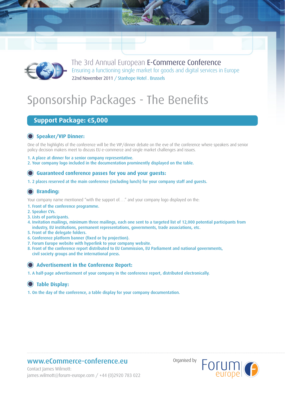

# Sponsorship Packages - The Benefits

# **Support Package: €5,000**

### **Speaker/VIP Dinner:**

One of the highlights of the conference will be the VIP/dinner debate on the eve of the conference where speakers and senior policy decision makers meet to discuss EU e-commerce and single market challenges and issues.

1. A place at dinner for a senior company representative.

2. Your company logo included in the documentation prominently displayed on the table.

#### **Guaranteed conference passes for you and your guests:**

1. 2 places reserved at the main conference (including lunch) for your company staff and guests.

#### **Branding:**

Your company name mentioned "with the support of. . ." and your company logo displayed on the:

- 1. Front of the conference programme.
- 2. Speaker CVs.
- 3. Lists of participants.
- 4. Invitation mailings, minimum three mailings, each one sent to a targeted list of 12,000 potential participants from industry, EU institutions, permanent representations, governments, trade associations, etc.
- 5. Front of the delegate folders.
- 6. Conference platform banner (fixed or by projection).
- 7. Forum Europe website with hyperlink to your company website.
- 8. Front of the conference report distributed to EU Commission, EU Parliament and national governments, civil society groups and the international press.

#### **Advertisement in the Conference Report:**

1. A half-page advertisement of your company in the conference report, distributed electronically.

#### **Table Display:**

1. On the day of the conference, a table display for your company documentation.

# www.eCommerce-conference.eu

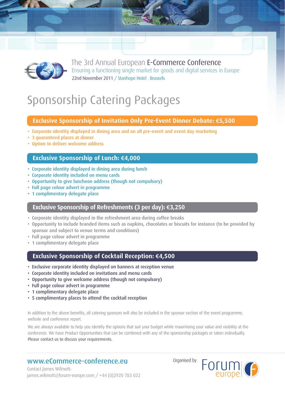

# Sponsorship Catering Packages

#### **Exclusive Sponsorship of Invitation Only Pre-Event Dinner Debate: €5,500**

- Corporate identity displayed in dining area and on all pre-event and event day marketing
- 3 guaranteed places at dinner
- Option to deliver welcome address

#### **Exclusive Sponsorship of Lunch: €4,000**

- Corporate identity displayed in dining area during lunch
- Corporate identity included on menu cards
- Opportunity to give luncheon address (though not compulsory)
- Full page colour advert in programme
- 1 complimentary delegate place

#### **Exclusive Sponsorship of Refreshments (3 per day): €3,250**

- Corporate identity displayed in the refreshment area during coffee breaks
- Opportunity to include branded items such as napkins, chocolates or biscuits for instance (to be provided by sponsor and subject to venue terms and conditions)
- Full page colour advert in programme
- 1 complimentary delegate place

### **Exclusive Sponsorship of Cocktail Reception: €4,500**

- Exclusive corporate identity displayed on banners at reception venue
- Corporate identity included on invitations and menu cards
- Opportunity to give welcome address (though not compulsory)
- Full page colour advert in programme
- 1 complimentary delegate place
- 5 complimentary places to attend the cocktail reception

In addition to the above benefits, all catering sponsors will also be included in the sponsor section of the event programme, website and conference report.

We are always available to help you identify the options that suit your budget while maximising your value and visibility at the conference. We have Product Opportunities that can be combined with any of the sponsorship packages or taken individually. Please contact us to discuss your requirements.

### www.eCommerce-conference.eu



Organised by